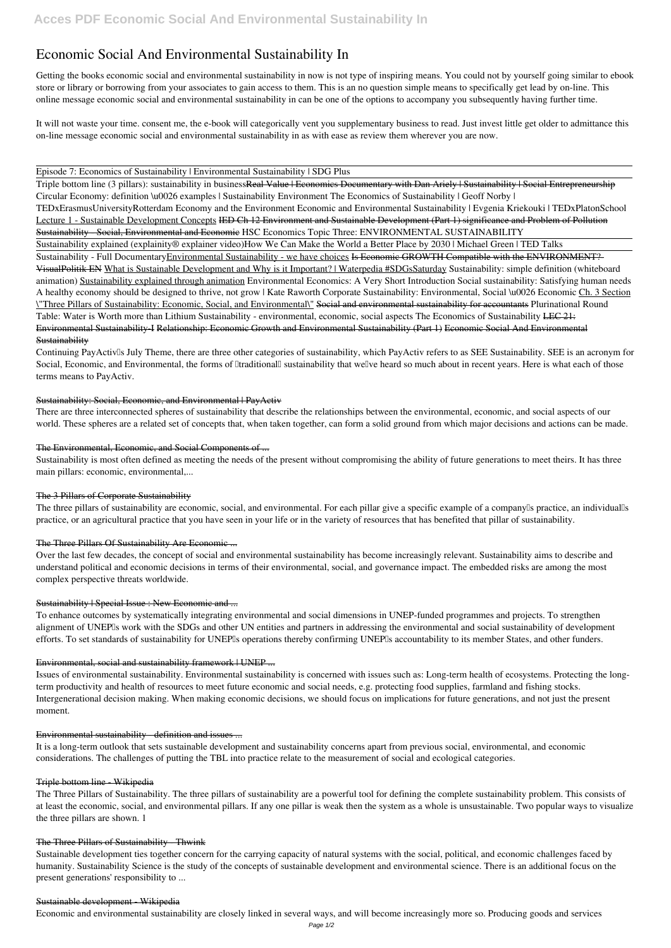# **Economic Social And Environmental Sustainability In**

Getting the books **economic social and environmental sustainability in** now is not type of inspiring means. You could not by yourself going similar to ebook store or library or borrowing from your associates to gain access to them. This is an no question simple means to specifically get lead by on-line. This online message economic social and environmental sustainability in can be one of the options to accompany you subsequently having further time.

Triple bottom line (3 pillars): sustainability in businessReal Value | Economics Documentary with Dan Ariely | Sustainability | Social Entrepreneurship Circular Economy: definition \u0026 examples | Sustainability Environment *The Economics of Sustainability | Geoff Norby |*

It will not waste your time. consent me, the e-book will categorically vent you supplementary business to read. Just invest little get older to admittance this on-line message **economic social and environmental sustainability in** as with ease as review them wherever you are now.

## Episode 7: Economics of Sustainability | Environmental Sustainability | SDG Plus

*TEDxErasmusUniversityRotterdam Economy and the Environment Economic and Environmental Sustainability | Evgenia Kriekouki | TEDxPlatonSchool* Lecture 1 - Sustainable Development Concepts IED Ch 12 Environment and Sustainable Development (Part 1) significance and Problem of Pollution Sustainability - Social, Environmental and Economic *HSC Economics Topic Three: ENVIRONMENTAL SUSTAINABILITY*

Continuing PayActiv<sup>I</sup>s July Theme, there are three other categories of sustainability, which PayActiv refers to as SEE Sustainability. SEE is an acronym for Social, Economic, and Environmental, the forms of Itraditionall sustainability that wellve heard so much about in recent years. Here is what each of those terms means to PayActiv.

## Sustainability: Social, Economic, and Environmental | PayActiv

Sustainability explained (explainity® explainer video)*How We Can Make the World a Better Place by 2030 | Michael Green | TED Talks*

Sustainability - Full DocumentaryEnvironmental Sustainability - we have choices Is Economic GROWTH Compatible with the ENVIRONMENT?-VisualPolitik EN What is Sustainable Development and Why is it Important? | Waterpedia #SDGsSaturday *Sustainability: simple definition (whiteboard animation)* Sustainability explained through animation Environmental Economics: A Very Short Introduction **Social sustainability: Satisfying human needs** A healthy economy should be designed to thrive, not grow | Kate Raworth **Corporate Sustainability: Environmental, Social \u0026 Economic** Ch. 3 Section \"Three Pillars of Sustainability: Economic, Social, and Environmental\" Social and environmental sustainability for accountants Plurinational Round Table: Water is Worth more than Lithium Sustainability - environmental, economic, social aspects *The Economics of Sustainability* LEC 21: Environmental Sustainability-I Relationship: Economic Growth and Environmental Sustainability (Part 1) Economic Social And Environmental **Sustainability** 

The three pillars of sustainability are economic, social, and environmental. For each pillar give a specific example of a company<sup>[]</sup>s practice, an individual<sup>[]</sup>s practice, or an agricultural practice that you have seen in your life or in the variety of resources that has benefited that pillar of sustainability.

# The Three Pillars Of Sustainability Are Economic ...

To enhance outcomes by systematically integrating environmental and social dimensions in UNEP-funded programmes and projects. To strengthen alignment of UNEPIs work with the SDGs and other UN entities and partners in addressing the environmental and social sustainability of development efforts. To set standards of sustainability for UNEP<sup>I</sup>s operations thereby confirming UNEP<sup>I</sup>s accountability to its member States, and other funders.

# Environmental, social and sustainability framework | UNEP ...

There are three interconnected spheres of sustainability that describe the relationships between the environmental, economic, and social aspects of our world. These spheres are a related set of concepts that, when taken together, can form a solid ground from which major decisions and actions can be made.

## The Environmental, Economic, and Social Components of ...

Sustainability is most often defined as meeting the needs of the present without compromising the ability of future generations to meet theirs. It has three main pillars: economic, environmental,...

## The 3 Pillars of Corporate Sustainability

Over the last few decades, the concept of social and environmental sustainability has become increasingly relevant. Sustainability aims to describe and understand political and economic decisions in terms of their environmental, social, and governance impact. The embedded risks are among the most complex perspective threats worldwide.

# Sustainability | Special Issue : New Economic and ...

Issues of environmental sustainability. Environmental sustainability is concerned with issues such as: Long-term health of ecosystems. Protecting the longterm productivity and health of resources to meet future economic and social needs, e.g. protecting food supplies, farmland and fishing stocks. Intergenerational decision making. When making economic decisions, we should focus on implications for future generations, and not just the present moment.

## Environmental sustainability - definition and issues ...

It is a long-term outlook that sets sustainable development and sustainability concerns apart from previous social, environmental, and economic considerations. The challenges of putting the TBL into practice relate to the measurement of social and ecological categories.

#### Triple bottom line - Wikipedia

The Three Pillars of Sustainability. The three pillars of sustainability are a powerful tool for defining the complete sustainability problem. This consists of at least the economic, social, and environmental pillars. If any one pillar is weak then the system as a whole is unsustainable. Two popular ways to visualize the three pillars are shown. 1

## The Three Pillars of Sustainability - Thwink

Sustainable development ties together concern for the carrying capacity of natural systems with the social, political, and economic challenges faced by humanity. Sustainability Science is the study of the concepts of sustainable development and environmental science. There is an additional focus on the present generations' responsibility to ...

### Sustainable development - Wikipedia

Economic and environmental sustainability are closely linked in several ways, and will become increasingly more so. Producing goods and services